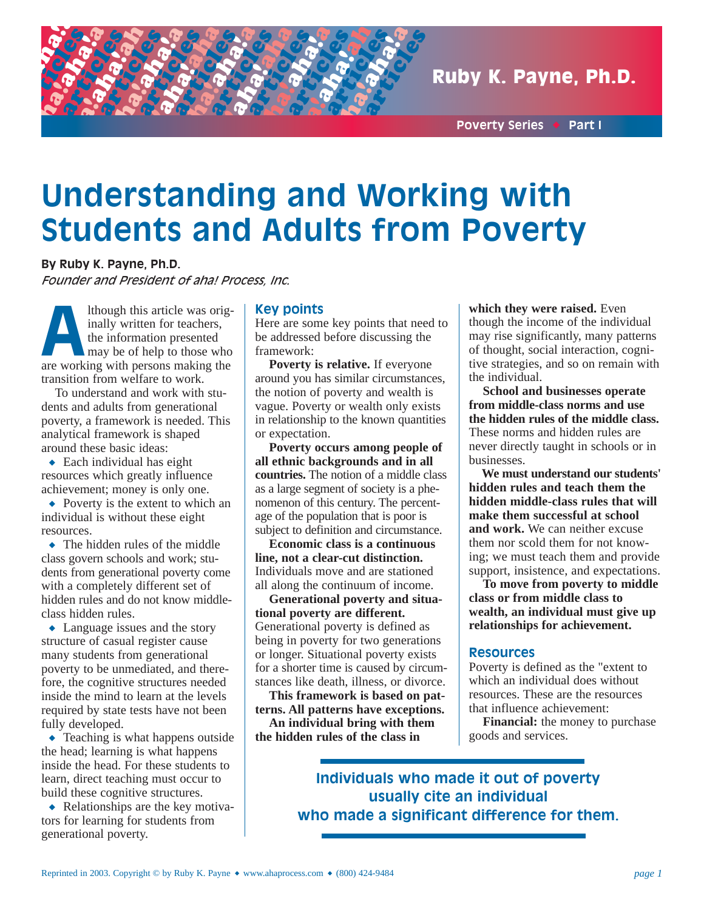

# **Understanding and Working with Students and Adults from Poverty**

**By Ruby K. Payne, Ph.D.** *Founder and President of aha! Process, Inc.*

**ALTERT ISLEM**<br>
THE MUST THE MUST THE MUST THE MUST THE MANUSCRIPT OF THE MUST THE MUST THE MUST THE MUST THE MUST THE MUST THE MUST THE MUST THE MUST THE MUST THE MUST THE MUST THE MUST THE MUST THE MUST THE MUST THE MUST inally written for teachers, the information presented are working with persons making the transition from welfare to work.

To understand and work with students and adults from generational poverty, a framework is needed. This analytical framework is shaped around these basic ideas:

◆ Each individual has eight resources which greatly influence achievement; money is only one.

◆ Poverty is the extent to which an individual is without these eight resources.

◆ The hidden rules of the middle class govern schools and work; students from generational poverty come with a completely different set of hidden rules and do not know middleclass hidden rules.

◆ Language issues and the story structure of casual register cause many students from generational poverty to be unmediated, and therefore, the cognitive structures needed inside the mind to learn at the levels required by state tests have not been fully developed.

◆ Teaching is what happens outside the head; learning is what happens inside the head. For these students to learn, direct teaching must occur to build these cognitive structures.

◆ Relationships are the key motivators for learning for students from generational poverty.

#### **Key points**

Here are some key points that need to be addressed before discussing the framework:

**Poverty is relative.** If everyone around you has similar circumstances, the notion of poverty and wealth is vague. Poverty or wealth only exists in relationship to the known quantities or expectation.

**Poverty occurs among people of all ethnic backgrounds and in all countries.** The notion of a middle class as a large segment of society is a phenomenon of this century. The percentage of the population that is poor is subject to definition and circumstance.

**Economic class is a continuous line, not a clear-cut distinction.** Individuals move and are stationed all along the continuum of income.

**Generational poverty and situational poverty are different.** Generational poverty is defined as being in poverty for two generations or longer. Situational poverty exists for a shorter time is caused by circumstances like death, illness, or divorce.

**This framework is based on patterns. All patterns have exceptions.**

**An individual bring with them the hidden rules of the class in**

**which they were raised.** Even though the income of the individual may rise significantly, many patterns of thought, social interaction, cognitive strategies, and so on remain with the individual.

**School and businesses operate from middle-class norms and use the hidden rules of the middle class.** These norms and hidden rules are never directly taught in schools or in businesses.

**We must understand our students' hidden rules and teach them the hidden middle-class rules that will make them successful at school and work.** We can neither excuse them nor scold them for not knowing; we must teach them and provide support, insistence, and expectations.

**To move from poverty to middle class or from middle class to wealth, an individual must give up relationships for achievement.**

#### **Resources**

Poverty is defined as the "extent to which an individual does without resources. These are the resources that influence achievement:

**Financial:** the money to purchase goods and services.

**Individuals who made it out of poverty usually cite an individual who made a significant difference for them.**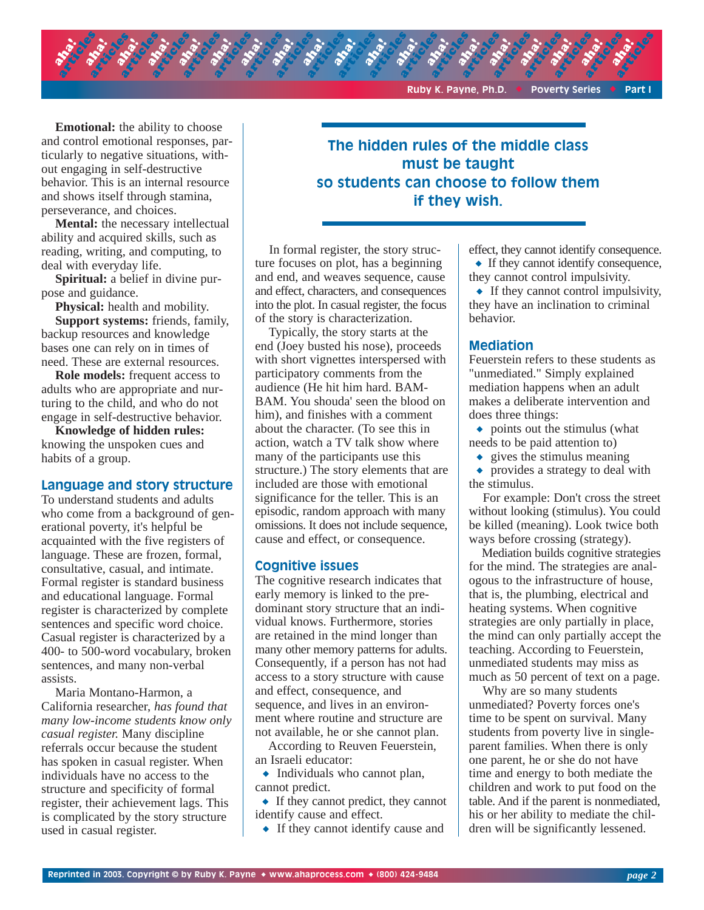

**Emotional:** the ability to choose and control emotional responses, particularly to negative situations, without engaging in self-destructive behavior. This is an internal resource and shows itself through stamina, perseverance, and choices.

**Mental:** the necessary intellectual ability and acquired skills, such as reading, writing, and computing, to deal with everyday life.

**Spiritual:** a belief in divine purpose and guidance.

**Physical:** health and mobility.

**Support systems:** friends, family, backup resources and knowledge bases one can rely on in times of need. These are external resources.

**Role models:** frequent access to adults who are appropriate and nurturing to the child, and who do not engage in self-destructive behavior.

**Knowledge of hidden rules:** knowing the unspoken cues and habits of a group.

#### **Language and story structure**

To understand students and adults who come from a background of generational poverty, it's helpful be acquainted with the five registers of language. These are frozen, formal, consultative, casual, and intimate. Formal register is standard business and educational language. Formal register is characterized by complete sentences and specific word choice. Casual register is characterized by a 400- to 500-word vocabulary, broken sentences, and many non-verbal assists.

Maria Montano-Harmon, a California researcher, *has found that many low-income students know only casual register.* Many discipline referrals occur because the student has spoken in casual register. When individuals have no access to the structure and specificity of formal register, their achievement lags. This is complicated by the story structure used in casual register.

**The hidden rules of the middle class must be taught so students can choose to follow them if they wish.**

In formal register, the story structure focuses on plot, has a beginning and end, and weaves sequence, cause and effect, characters, and consequences into the plot. In casual register, the focus of the story is characterization.

Typically, the story starts at the end (Joey busted his nose), proceeds with short vignettes interspersed with participatory comments from the audience (He hit him hard. BAM-BAM. You shouda' seen the blood on him), and finishes with a comment about the character. (To see this in action, watch a TV talk show where many of the participants use this structure.) The story elements that are included are those with emotional significance for the teller. This is an episodic, random approach with many omissions. It does not include sequence, cause and effect, or consequence.

#### **Cognitive issues**

The cognitive research indicates that early memory is linked to the predominant story structure that an individual knows. Furthermore, stories are retained in the mind longer than many other memory patterns for adults. Consequently, if a person has not had access to a story structure with cause and effect, consequence, and sequence, and lives in an environment where routine and structure are not available, he or she cannot plan.

According to Reuven Feuerstein, an Israeli educator:

◆ Individuals who cannot plan, cannot predict.

◆ If they cannot predict, they cannot identify cause and effect.

◆ If they cannot identify cause and

effect, they cannot identify consequence. ◆ If they cannot identify consequence, they cannot control impulsivity.

◆ If they cannot control impulsivity, they have an inclination to criminal behavior.

#### **Mediation**

Feuerstein refers to these students as "unmediated." Simply explained mediation happens when an adult makes a deliberate intervention and does three things:

◆ points out the stimulus (what needs to be paid attention to)

 $\bullet$  gives the stimulus meaning

◆ provides a strategy to deal with the stimulus.

For example: Don't cross the street without looking (stimulus). You could be killed (meaning). Look twice both ways before crossing (strategy).

Mediation builds cognitive strategies for the mind. The strategies are analogous to the infrastructure of house, that is, the plumbing, electrical and heating systems. When cognitive strategies are only partially in place, the mind can only partially accept the teaching. According to Feuerstein, unmediated students may miss as much as 50 percent of text on a page.

Why are so many students unmediated? Poverty forces one's time to be spent on survival. Many students from poverty live in singleparent families. When there is only one parent, he or she do not have time and energy to both mediate the children and work to put food on the table. And if the parent is nonmediated, his or her ability to mediate the children will be significantly lessened.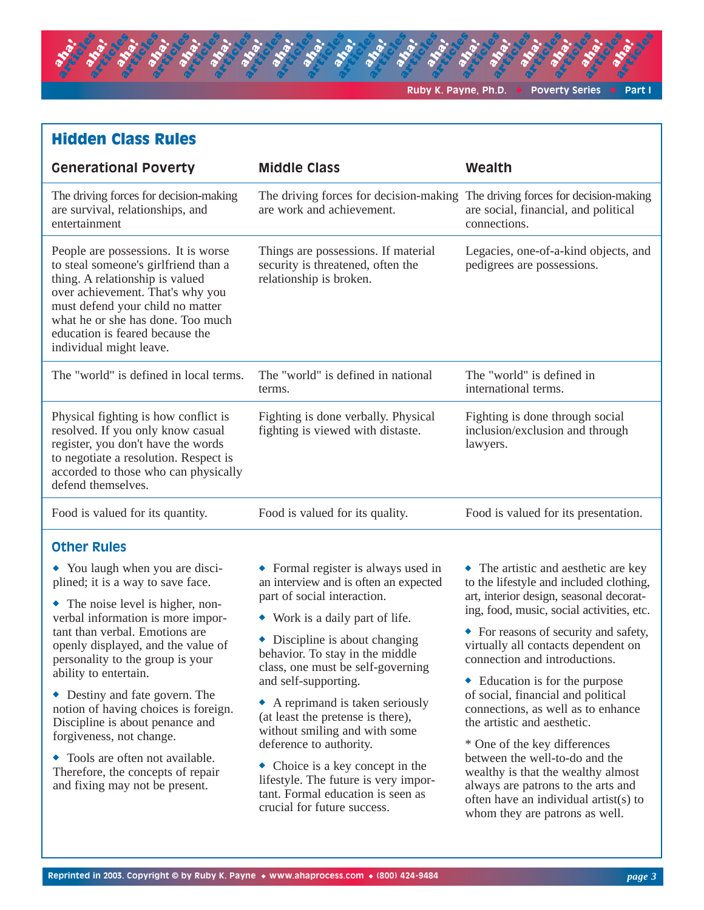

| <b>Hidden Class Rules</b>                                                                                                                                                                                                                                                                 |                                                                                                            |                                                                                |
|-------------------------------------------------------------------------------------------------------------------------------------------------------------------------------------------------------------------------------------------------------------------------------------------|------------------------------------------------------------------------------------------------------------|--------------------------------------------------------------------------------|
| <b>Generational Poverty</b>                                                                                                                                                                                                                                                               | <b>Middle Class</b>                                                                                        | Wealth                                                                         |
| The driving forces for decision-making<br>are survival, relationships, and<br>entertainment                                                                                                                                                                                               | The driving forces for decision-making The driving forces for decision-making<br>are work and achievement. | are social, financial, and political<br>connections.                           |
| People are possessions. It is worse<br>to steal someone's girlfriend than a<br>thing. A relationship is valued<br>over achievement. That's why you<br>must defend your child no matter<br>what he or she has done. Too much<br>education is feared because the<br>individual might leave. | Things are possessions. If material<br>security is threatened, often the<br>relationship is broken.        | Legacies, one-of-a-kind objects, and<br>pedigrees are possessions.             |
| The "world" is defined in local terms.                                                                                                                                                                                                                                                    | The "world" is defined in national<br>terms.                                                               | The "world" is defined in<br>international terms.                              |
| Physical fighting is how conflict is<br>resolved. If you only know casual<br>register, you don't have the words<br>to negotiate a resolution. Respect is<br>accorded to those who can physically<br>defend themselves.                                                                    | Fighting is done verbally. Physical<br>fighting is viewed with distaste.                                   | Fighting is done through social<br>inclusion/exclusion and through<br>lawyers. |
| Food is valued for its quantity.                                                                                                                                                                                                                                                          | Food is valued for its quality.                                                                            | Food is valued for its presentation.                                           |
|                                                                                                                                                                                                                                                                                           |                                                                                                            |                                                                                |

#### **Other Rules**

◆ You laugh when you are disciplined; it is a way to save face.

• The noise level is higher, nonverbal information is more important than verbal. Emotions are openly displayed, and the value of personality to the group is your ability to entertain.

◆ Destiny and fate govern. The notion of having choices is foreign. Discipline is about penance and forgiveness, not change.

◆ Tools are often not available. Therefore, the concepts of repair and fixing may not be present.

◆ Formal register is always used in an interview and is often an expected part of social interaction.

◆ Work is a daily part of life.

◆ Discipline is about changing behavior. To stay in the middle class, one must be self-governing and self-supporting.

◆ A reprimand is taken seriously (at least the pretense is there), without smiling and with some deference to authority.

◆ Choice is a key concept in the lifestyle. The future is very important. Formal education is seen as crucial for future success.

• The artistic and aesthetic are key to the lifestyle and included clothing, art, interior design, seasonal decorating, food, music, social activities, etc.

◆ For reasons of security and safety, virtually all contacts dependent on connection and introductions.

◆ Education is for the purpose of social, financial and political connections, as well as to enhance the artistic and aesthetic.

\* One of the key differences between the well-to-do and the wealthy is that the wealthy almost always are patrons to the arts and often have an individual artist(s) to whom they are patrons as well.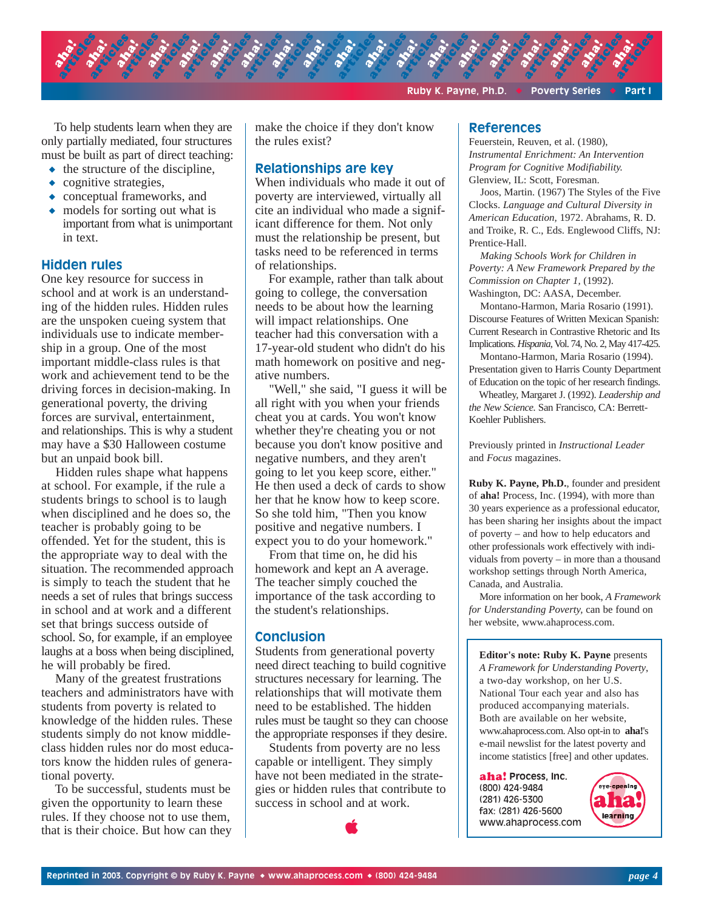

To help students learn when they are only partially mediated, four structures must be built as part of direct teaching:

- $\bullet$  the structure of the discipline,
- ◆ cognitive strategies,
- ◆ conceptual frameworks, and
- ◆ models for sorting out what is important from what is unimportant in text.

#### **Hidden rules**

One key resource for success in school and at work is an understanding of the hidden rules. Hidden rules are the unspoken cueing system that individuals use to indicate membership in a group. One of the most important middle-class rules is that work and achievement tend to be the driving forces in decision-making. In generational poverty, the driving forces are survival, entertainment, and relationships. This is why a student may have a \$30 Halloween costume but an unpaid book bill.

Hidden rules shape what happens at school. For example, if the rule a students brings to school is to laugh when disciplined and he does so, the teacher is probably going to be offended. Yet for the student, this is the appropriate way to deal with the situation. The recommended approach is simply to teach the student that he needs a set of rules that brings success in school and at work and a different set that brings success outside of school. So, for example, if an employee laughs at a boss when being disciplined, he will probably be fired.

Many of the greatest frustrations teachers and administrators have with students from poverty is related to knowledge of the hidden rules. These students simply do not know middleclass hidden rules nor do most educators know the hidden rules of generational poverty.

To be successful, students must be given the opportunity to learn these rules. If they choose not to use them, that is their choice. But how can they make the choice if they don't know the rules exist?

#### **Relationships are key**

When individuals who made it out of poverty are interviewed, virtually all cite an individual who made a significant difference for them. Not only must the relationship be present, but tasks need to be referenced in terms of relationships.

For example, rather than talk about going to college, the conversation needs to be about how the learning will impact relationships. One teacher had this conversation with a 17-year-old student who didn't do his math homework on positive and negative numbers.

"Well," she said, "I guess it will be all right with you when your friends cheat you at cards. You won't know whether they're cheating you or not because you don't know positive and negative numbers, and they aren't going to let you keep score, either." He then used a deck of cards to show her that he know how to keep score. So she told him, "Then you know positive and negative numbers. I expect you to do your homework."

From that time on, he did his homework and kept an A average. The teacher simply couched the importance of the task according to the student's relationships.

#### **Conclusion**

Students from generational poverty need direct teaching to build cognitive structures necessary for learning. The relationships that will motivate them need to be established. The hidden rules must be taught so they can choose the appropriate responses if they desire.

Students from poverty are no less capable or intelligent. They simply have not been mediated in the strategies or hidden rules that contribute to success in school and at work.

Ć

#### **References**

Feuerstein, Reuven, et al. (1980), *Instrumental Enrichment: An Intervention Program for Cognitive Modifiability.* Glenview, IL: Scott, Foresman.

Joos, Martin. (1967) The Styles of the Five Clocks. *Language and Cultural Diversity in American Education,* 1972. Abrahams, R. D. and Troike, R. C., Eds. Englewood Cliffs, NJ: Prentice-Hall.

*Making Schools Work for Children in Poverty: A New Framework Prepared by the Commission on Chapter 1,* (1992). Washington, DC: AASA, December.

Montano-Harmon, Maria Rosario (1991). Discourse Features of Written Mexican Spanish: Current Research in Contrastive Rhetoric and Its Implications. *Hispania*, Vol. 74, No. 2, May 417-425.

Montano-Harmon, Maria Rosario (1994). Presentation given to Harris County Department of Education on the topic of her research findings.

Wheatley, Margaret J. (1992). *Leadership and the New Science.* San Francisco, CA: Berrett-Koehler Publishers.

Previously printed in *Instructional Leader* and *Focus* magazines.

**Ruby K. Payne, Ph.D.**, founder and president of **aha!** Process, Inc. (1994), with more than 30 years experience as a professional educator, has been sharing her insights about the impact of poverty – and how to help educators and other professionals work effectively with individuals from poverty – in more than a thousand workshop settings through North America, Canada, and Australia.

More information on her book, *A Framework for Understanding Poverty,* can be found on her website, www.ahaprocess.com.

**Editor's note: Ruby K. Payne** presents *A Framework for Understanding Poverty*, a two-day workshop, on her U.S. National Tour each year and also has produced accompanying materials. Both are available on her website, www.ahaprocess.com. Also opt-in to **aha!**'s e-mail newslist for the latest poverty and income statistics [free] and other updates.

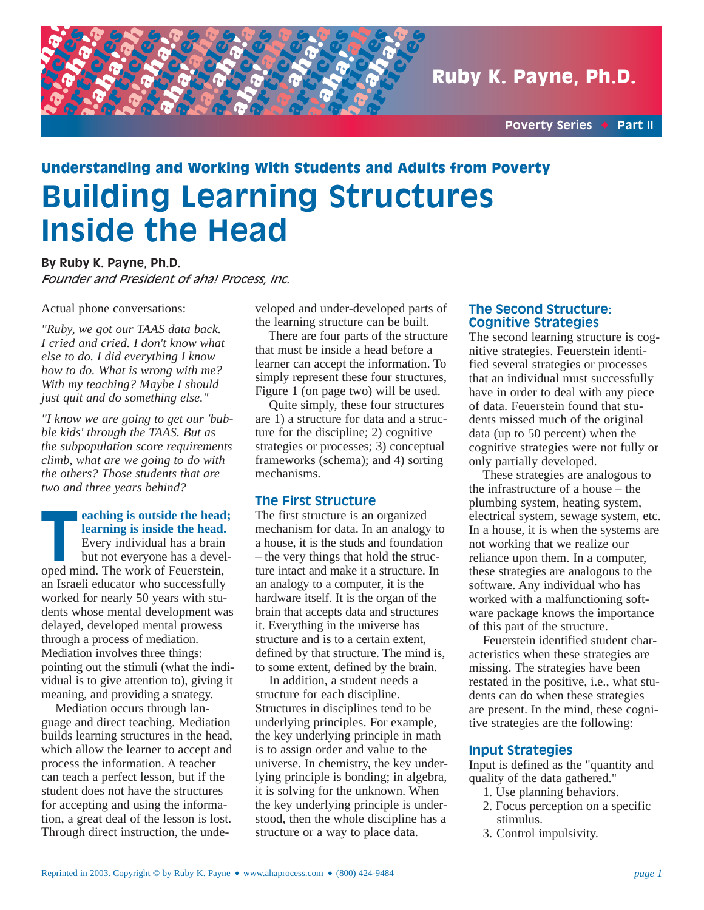

### Understanding and Working With Students and Adults from Poverty **Building Learning Structures Inside the Head**

**By Ruby K. Payne, Ph.D.** *Founder and President of aha! Process, Inc.*

Actual phone conversations:

*"Ruby, we got our TAAS data back. I cried and cried. I don't know what else to do. I did everything I know how to do. What is wrong with me? With my teaching? Maybe I should just quit and do something else."*

*"I know we are going to get our 'bubble kids' through the TAAS. But as the subpopulation score requirements climb, what are we going to do with the others? Those students that are two and three years behind?*

**THE EXECUTE SERVIER SERVIER SERVIS SERVIS SERVIS SERVIS SERVIS SERVIS SERVIS SERVIS SERVIS SERVIS SERVIS SERVIS SERVIS SERVIS SERVIS SERVIS SERVIS SERVIS SERVIS SERVIS SERVIS SERVIS SERVIS SERVIS SERVIS SERVIS SERVIS SERV eaching is outside the head; learning is inside the head.** Every individual has a brain but not everyone has a develan Israeli educator who successfully worked for nearly 50 years with students whose mental development was delayed, developed mental prowess through a process of mediation. Mediation involves three things: pointing out the stimuli (what the individual is to give attention to), giving it meaning, and providing a strategy.

Mediation occurs through language and direct teaching. Mediation builds learning structures in the head, which allow the learner to accept and process the information. A teacher can teach a perfect lesson, but if the student does not have the structures for accepting and using the information, a great deal of the lesson is lost. Through direct instruction, the undeveloped and under-developed parts of the learning structure can be built.

There are four parts of the structure that must be inside a head before a learner can accept the information. To simply represent these four structures, Figure 1 (on page two) will be used.

Quite simply, these four structures are 1) a structure for data and a structure for the discipline; 2) cognitive strategies or processes; 3) conceptual frameworks (schema); and 4) sorting mechanisms.

#### **The First Structure**

The first structure is an organized mechanism for data. In an analogy to a house, it is the studs and foundation – the very things that hold the structure intact and make it a structure. In an analogy to a computer, it is the hardware itself. It is the organ of the brain that accepts data and structures it. Everything in the universe has structure and is to a certain extent, defined by that structure. The mind is, to some extent, defined by the brain.

In addition, a student needs a structure for each discipline. Structures in disciplines tend to be underlying principles. For example, the key underlying principle in math is to assign order and value to the universe. In chemistry, the key underlying principle is bonding; in algebra, it is solving for the unknown. When the key underlying principle is understood, then the whole discipline has a structure or a way to place data.

#### **The Second Structure: Cognitive Strategies**

The second learning structure is cognitive strategies. Feuerstein identified several strategies or processes that an individual must successfully have in order to deal with any piece of data. Feuerstein found that students missed much of the original data (up to 50 percent) when the cognitive strategies were not fully or only partially developed.

These strategies are analogous to the infrastructure of a house – the plumbing system, heating system, electrical system, sewage system, etc. In a house, it is when the systems are not working that we realize our reliance upon them. In a computer, these strategies are analogous to the software. Any individual who has worked with a malfunctioning software package knows the importance of this part of the structure.

Feuerstein identified student characteristics when these strategies are missing. The strategies have been restated in the positive, i.e., what students can do when these strategies are present. In the mind, these cognitive strategies are the following:

#### **Input Strategies**

Input is defined as the "quantity and quality of the data gathered."

- 1. Use planning behaviors.
- 2. Focus perception on a specific stimulus.
- 3. Control impulsivity.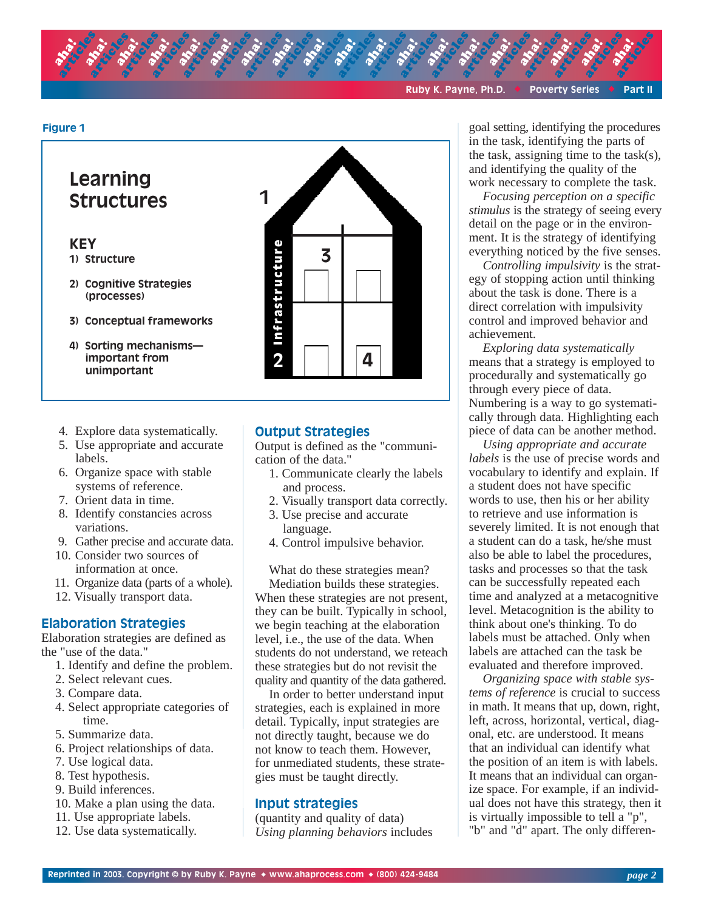

#### **Figure 1**

### **Learning Structures**

#### **KEY**

- **1) Structure**
- **2) Cognitive Strategies (processes)**
- **3) Conceptual frameworks**
- **4) Sorting mechanisms important from unimportant**
- 4. Explore data systematically.
- 5. Use appropriate and accurate labels.
- 6. Organize space with stable systems of reference.
- 7. Orient data in time.
- 8. Identify constancies across variations.
- 9. Gather precise and accurate data.
- 10. Consider two sources of information at once.
- 11. Organize data (parts of a whole).
- 12. Visually transport data.

#### **Elaboration Strategies**

Elaboration strategies are defined as the "use of the data."

- 1. Identify and define the problem.
- 2. Select relevant cues.
- 3. Compare data.
- 4. Select appropriate categories of time.
- 5. Summarize data.
- 6. Project relationships of data.
- 7. Use logical data.
- 8. Test hypothesis.
- 9. Build inferences.
- 10. Make a plan using the data.
- 11. Use appropriate labels.
- 12. Use data systematically.



#### **Output Strategies**

Output is defined as the "communication of the data."

- 1. Communicate clearly the labels and process.
- 2. Visually transport data correctly.
- 3. Use precise and accurate language.
- 4. Control impulsive behavior.

What do these strategies mean? Mediation builds these strategies. When these strategies are not present, they can be built. Typically in school, we begin teaching at the elaboration level, i.e., the use of the data. When students do not understand, we reteach these strategies but do not revisit the quality and quantity of the data gathered.

In order to better understand input strategies, each is explained in more detail. Typically, input strategies are not directly taught, because we do not know to teach them. However, for unmediated students, these strategies must be taught directly.

#### **Input strategies**

(quantity and quality of data) *Using planning behaviors* includes goal setting, identifying the procedures in the task, identifying the parts of the task, assigning time to the task(s), and identifying the quality of the work necessary to complete the task.

*Focusing perception on a specific stimulus* is the strategy of seeing every detail on the page or in the environment. It is the strategy of identifying everything noticed by the five senses.

*Controlling impulsivity* is the strategy of stopping action until thinking about the task is done. There is a direct correlation with impulsivity control and improved behavior and achievement.

*Exploring data systematically* means that a strategy is employed to procedurally and systematically go through every piece of data. Numbering is a way to go systematically through data. Highlighting each piece of data can be another method.

*Using appropriate and accurate labels* is the use of precise words and vocabulary to identify and explain. If a student does not have specific words to use, then his or her ability to retrieve and use information is severely limited. It is not enough that a student can do a task, he/she must also be able to label the procedures, tasks and processes so that the task can be successfully repeated each time and analyzed at a metacognitive level. Metacognition is the ability to think about one's thinking. To do labels must be attached. Only when labels are attached can the task be evaluated and therefore improved.

*Organizing space with stable systems of reference* is crucial to success in math. It means that up, down, right, left, across, horizontal, vertical, diagonal, etc. are understood. It means that an individual can identify what the position of an item is with labels. It means that an individual can organize space. For example, if an individual does not have this strategy, then it is virtually impossible to tell a "p", "b" and "d" apart. The only differen-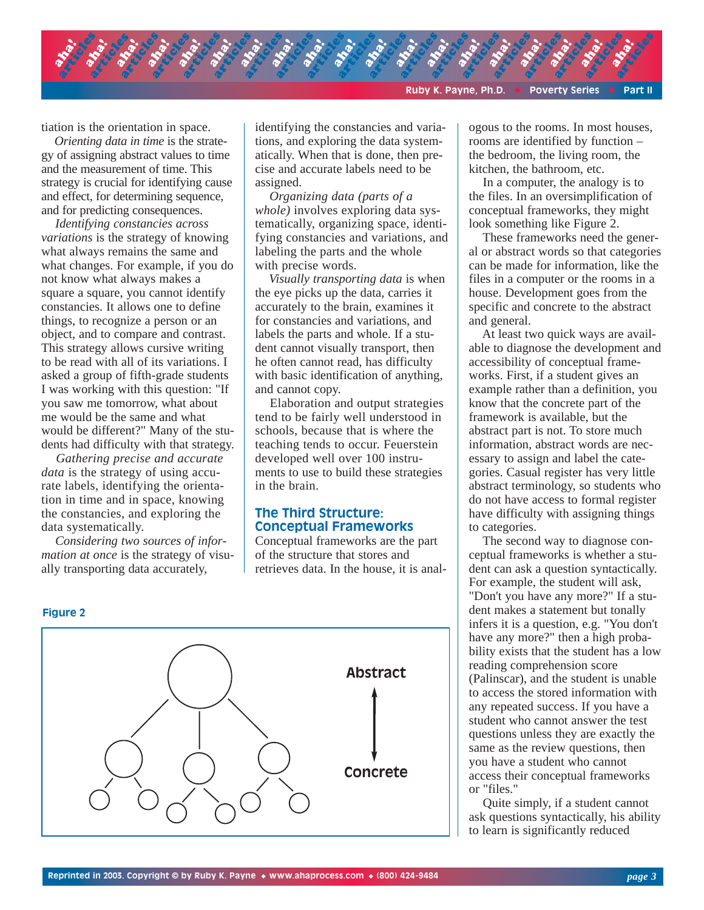

tiation is the orientation in space.

*Orienting data in time* is the strategy of assigning abstract values to time and the measurement of time. This strategy is crucial for identifying cause and effect, for determining sequence, and for predicting consequences.

*Identifying constancies across variations* is the strategy of knowing what always remains the same and what changes. For example, if you do not know what always makes a square a square, you cannot identify constancies. It allows one to define things, to recognize a person or an object, and to compare and contrast. This strategy allows cursive writing to be read with all of its variations. I asked a group of fifth-grade students I was working with this question: "If you saw me tomorrow, what about me would be the same and what would be different?" Many of the students had difficulty with that strategy.

*Gathering precise and accurate data* is the strategy of using accurate labels, identifying the orientation in time and in space, knowing the constancies, and exploring the data systematically.

*Considering two sources of information at once* is the strategy of visually transporting data accurately,

identifying the constancies and variations, and exploring the data systematically. When that is done, then precise and accurate labels need to be assigned.

*Organizing data (parts of a whole)* involves exploring data systematically, organizing space, identifying constancies and variations, and labeling the parts and the whole with precise words.

*Visually transporting data* is when the eye picks up the data, carries it accurately to the brain, examines it for constancies and variations, and labels the parts and whole. If a student cannot visually transport, then he often cannot read, has difficulty with basic identification of anything, and cannot copy.

Elaboration and output strategies tend to be fairly well understood in schools, because that is where the teaching tends to occur. Feuerstein developed well over 100 instruments to use to build these strategies in the brain.

#### **The Third Structure: Conceptual Frameworks**

Conceptual frameworks are the part of the structure that stores and retrieves data. In the house, it is anal-



ogous to the rooms. In most houses, rooms are identified by function – the bedroom, the living room, the kitchen, the bathroom, etc.

In a computer, the analogy is to the files. In an oversimplification of conceptual frameworks, they might look something like Figure 2.

These frameworks need the general or abstract words so that categories can be made for information, like the files in a computer or the rooms in a house. Development goes from the specific and concrete to the abstract and general.

At least two quick ways are available to diagnose the development and accessibility of conceptual frameworks. First, if a student gives an example rather than a definition, you know that the concrete part of the framework is available, but the abstract part is not. To store much information, abstract words are necessary to assign and label the categories. Casual register has very little abstract terminology, so students who do not have access to formal register have difficulty with assigning things to categories.

The second way to diagnose conceptual frameworks is whether a student can ask a question syntactically. For example, the student will ask, "Don't you have any more?" If a student makes a statement but tonally infers it is a question, e.g. "You don't have any more?" then a high probability exists that the student has a low reading comprehension score (Palinscar), and the student is unable to access the stored information with any repeated success. If you have a student who cannot answer the test questions unless they are exactly the same as the review questions, then you have a student who cannot access their conceptual frameworks or "files."

Quite simply, if a student cannot ask questions syntactically, his ability to learn is significantly reduced

#### **Figure 2**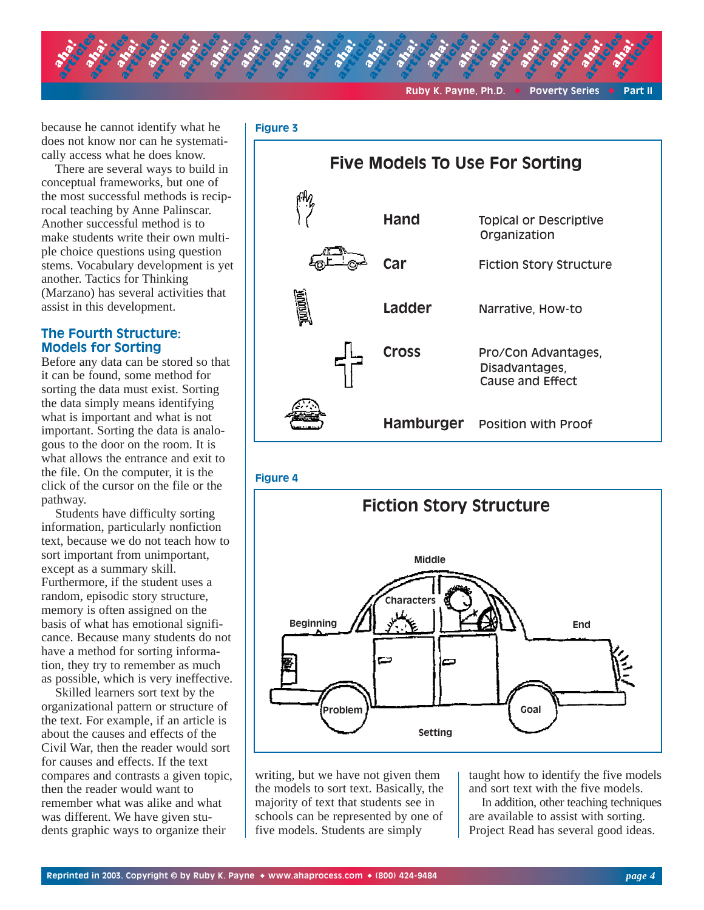

because he cannot identify what he does not know nor can he systematically access what he does know.

There are several ways to build in conceptual frameworks, but one of the most successful methods is reciprocal teaching by Anne Palinscar. Another successful method is to make students write their own multiple choice questions using question stems. Vocabulary development is yet another. Tactics for Thinking (Marzano) has several activities that assist in this development.

#### **The Fourth Structure: Models for Sorting**

Before any data can be stored so that it can be found, some method for sorting the data must exist. Sorting the data simply means identifying what is important and what is not important. Sorting the data is analogous to the door on the room. It is what allows the entrance and exit to the file. On the computer, it is the click of the cursor on the file or the pathway.

Students have difficulty sorting information, particularly nonfiction text, because we do not teach how to sort important from unimportant, except as a summary skill. Furthermore, if the student uses a random, episodic story structure, memory is often assigned on the basis of what has emotional significance. Because many students do not have a method for sorting information, they try to remember as much as possible, which is very ineffective.

Skilled learners sort text by the organizational pattern or structure of the text. For example, if an article is about the causes and effects of the Civil War, then the reader would sort for causes and effects. If the text compares and contrasts a given topic, then the reader would want to remember what was alike and what was different. We have given students graphic ways to organize their









writing, but we have not given them the models to sort text. Basically, the majority of text that students see in schools can be represented by one of five models. Students are simply

taught how to identify the five models and sort text with the five models.

In addition, other teaching techniques are available to assist with sorting. Project Read has several good ideas.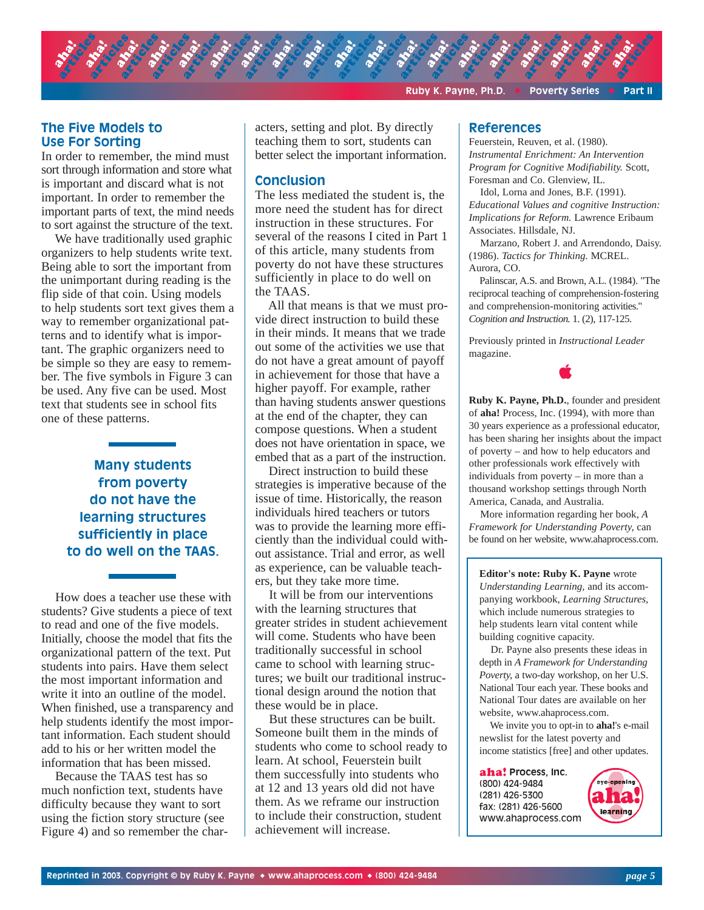

#### **The Five Models to Use For Sorting**

In order to remember, the mind must sort through information and store what is important and discard what is not important. In order to remember the important parts of text, the mind needs to sort against the structure of the text.

We have traditionally used graphic organizers to help students write text. Being able to sort the important from the unimportant during reading is the flip side of that coin. Using models to help students sort text gives them a way to remember organizational patterns and to identify what is important. The graphic organizers need to be simple so they are easy to remember. The five symbols in Figure 3 can be used. Any five can be used. Most text that students see in school fits one of these patterns.

#### **Many students from poverty do not have the learning structures sufficiently in place to do well on the TAAS.**

How does a teacher use these with students? Give students a piece of text to read and one of the five models. Initially, choose the model that fits the organizational pattern of the text. Put students into pairs. Have them select the most important information and write it into an outline of the model. When finished, use a transparency and help students identify the most important information. Each student should add to his or her written model the information that has been missed.

Because the TAAS test has so much nonfiction text, students have difficulty because they want to sort using the fiction story structure (see Figure 4) and so remember the characters, setting and plot. By directly teaching them to sort, students can better select the important information.

#### **Conclusion**

The less mediated the student is, the more need the student has for direct instruction in these structures. For several of the reasons I cited in Part 1 of this article, many students from poverty do not have these structures sufficiently in place to do well on the TAAS.

All that means is that we must provide direct instruction to build these in their minds. It means that we trade out some of the activities we use that do not have a great amount of payoff in achievement for those that have a higher payoff. For example, rather than having students answer questions at the end of the chapter, they can compose questions. When a student does not have orientation in space, we embed that as a part of the instruction.

Direct instruction to build these strategies is imperative because of the issue of time. Historically, the reason individuals hired teachers or tutors was to provide the learning more efficiently than the individual could without assistance. Trial and error, as well as experience, can be valuable teachers, but they take more time.

It will be from our interventions with the learning structures that greater strides in student achievement will come. Students who have been traditionally successful in school came to school with learning structures; we built our traditional instructional design around the notion that these would be in place.

But these structures can be built. Someone built them in the minds of students who come to school ready to learn. At school, Feuerstein built them successfully into students who at 12 and 13 years old did not have them. As we reframe our instruction to include their construction, student achievement will increase.

#### **References**

Feuerstein, Reuven, et al. (1980). *Instrumental Enrichment: An Intervention Program for Cognitive Modifiability.* Scott, Foresman and Co. Glenview, IL.

Idol, Lorna and Jones, B.F. (1991). *Educational Values and cognitive Instruction: Implications for Reform.* Lawrence Eribaum Associates. Hillsdale, NJ.

Marzano, Robert J. and Arrendondo, Daisy. (1986). *Tactics for Thinking.* MCREL. Aurora, CO.

Palinscar, A.S. and Brown, A.L. (1984). "The reciprocal teaching of comprehension-fostering and comprehension-monitoring activities." *Cognition and Instruction.* 1. (2), 117-125.

Previously printed in *Instructional Leader* magazine.



**Ruby K. Payne, Ph.D.**, founder and president of **aha!** Process, Inc. (1994), with more than 30 years experience as a professional educator, has been sharing her insights about the impact of poverty – and how to help educators and other professionals work effectively with individuals from poverty – in more than a thousand workshop settings through North America, Canada, and Australia.

More information regarding her book, *A Framework for Understanding Poverty,* can be found on her website, www.ahaprocess.com.

**Editor's note: Ruby K. Payne** wrote *Understanding Learning,* and its accompanying workbook, *Learning Structures,* which include numerous strategies to help students learn vital content while building cognitive capacity.

Dr. Payne also presents these ideas in depth in *A Framework for Understanding Poverty,* a two-day workshop, on her U.S. National Tour each year. These books and National Tour dates are available on her website, www.ahaprocess.com.

We invite you to opt-in to **aha!**'s e-mail newslist for the latest poverty and income statistics [free] and other updates.

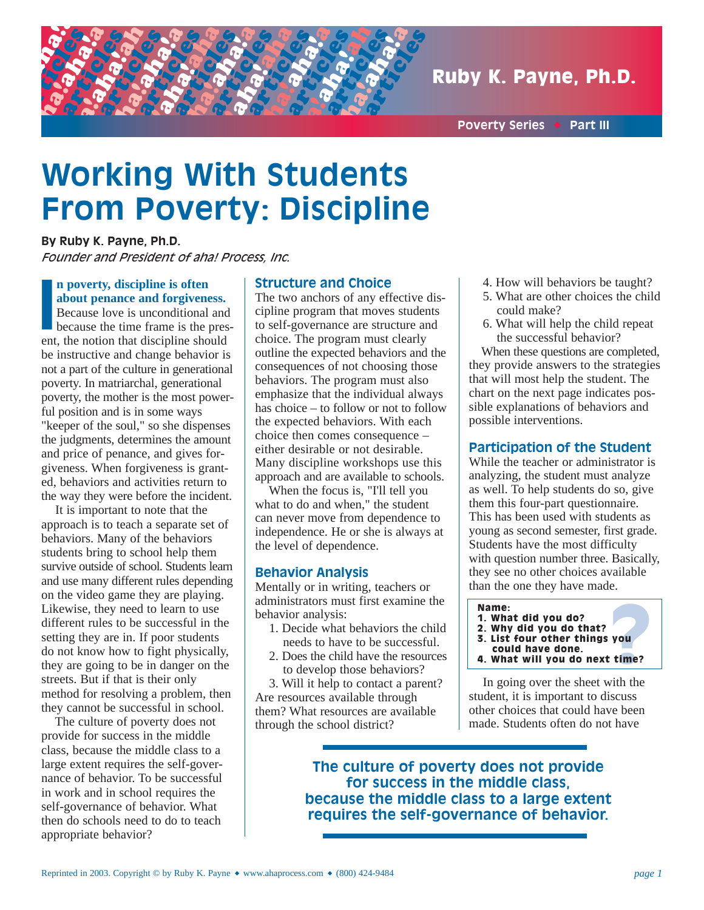

# **Working With Students From Poverty: Discipline**

#### **By Ruby K. Payne, Ph.D.**

*Founder and President of aha! Process, Inc.*

#### **n poverty, discipline is often about penance and forgiveness.**

**I** Because love is unconditional and because the time frame is the present, the notion that discipline should be instructive and change behavior is not a part of the culture in generational poverty. In matriarchal, generational poverty, the mother is the most powerful position and is in some ways "keeper of the soul," so she dispenses the judgments, determines the amount and price of penance, and gives forgiveness. When forgiveness is granted, behaviors and activities return to the way they were before the incident.

It is important to note that the approach is to teach a separate set of behaviors. Many of the behaviors students bring to school help them survive outside of school. Students learn and use many different rules depending on the video game they are playing. Likewise, they need to learn to use different rules to be successful in the setting they are in. If poor students do not know how to fight physically, they are going to be in danger on the streets. But if that is their only method for resolving a problem, then they cannot be successful in school.

The culture of poverty does not provide for success in the middle class, because the middle class to a large extent requires the self-governance of behavior. To be successful in work and in school requires the self-governance of behavior. What then do schools need to do to teach appropriate behavior?

#### **Structure and Choice**

The two anchors of any effective discipline program that moves students to self-governance are structure and choice. The program must clearly outline the expected behaviors and the consequences of not choosing those behaviors. The program must also emphasize that the individual always has choice – to follow or not to follow the expected behaviors. With each choice then comes consequence – either desirable or not desirable. Many discipline workshops use this approach and are available to schools.

When the focus is, "I'll tell you what to do and when," the student can never move from dependence to independence. He or she is always at the level of dependence.

#### **Behavior Analysis**

Mentally or in writing, teachers or administrators must first examine the behavior analysis:

- 1. Decide what behaviors the child needs to have to be successful.
- 2. Does the child have the resources to develop those behaviors?

3. Will it help to contact a parent? Are resources available through them? What resources are available through the school district?

- 4. How will behaviors be taught?
- 5. What are other choices the child could make?
- 6. What will help the child repeat the successful behavior?

When these questions are completed, they provide answers to the strategies that will most help the student. The chart on the next page indicates possible explanations of behaviors and possible interventions.

#### **Participation of the Student**

While the teacher or administrator is analyzing, the student must analyze as well. To help students do so, give them this four-part questionnaire. This has been used with students as young as second semester, first grade. Students have the most difficulty with question number three. Basically, they see no other choices available than the one they have made.

- 1. What did you do? 2. Why did you do that?
- 3. List four other things you
- could have done.
- Name:<br>1. What did you do?<br>2. Why did you do that?<br>3. List four other things you<br>could have done.<br>4. What will you do next time? 4. What will you do next time?

In going over the sheet with the student, it is important to discuss other choices that could have been made. Students often do not have

**The culture of poverty does not provide for success in the middle class, because the middle class to a large extent requires the self-governance of behavior.**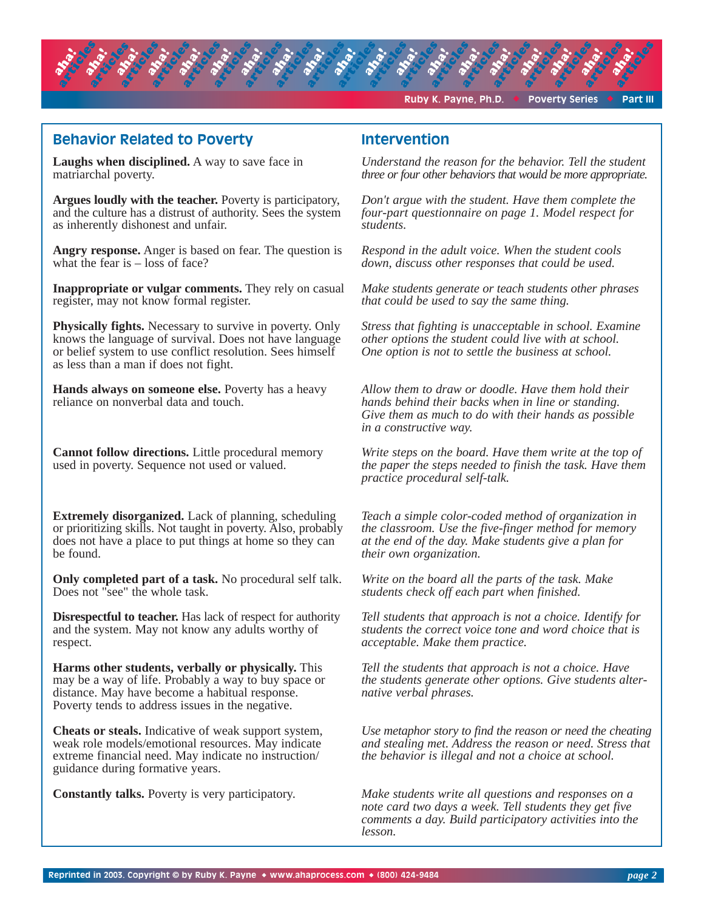

#### **Behavior Related to Poverty**

**Laughs when disciplined.** A way to save face in matriarchal poverty.

**Argues loudly with the teacher.** Poverty is participatory, and the culture has a distrust of authority. Sees the system as inherently dishonest and unfair.

**Angry response.** Anger is based on fear. The question is what the fear is – loss of face?

**Inappropriate or vulgar comments.** They rely on casual register, may not know formal register.

**Physically fights.** Necessary to survive in poverty. Only knows the language of survival. Does not have language or belief system to use conflict resolution. Sees himself as less than a man if does not fight.

**Hands always on someone else.** Poverty has a heavy reliance on nonverbal data and touch.

**Cannot follow directions.** Little procedural memory used in poverty. Sequence not used or valued.

**Extremely disorganized.** Lack of planning, scheduling or prioritizing skills. Not taught in poverty. Also, probably does not have a place to put things at home so they can be found.

**Only completed part of a task.** No procedural self talk. Does not "see" the whole task.

**Disrespectful to teacher.** Has lack of respect for authority and the system. May not know any adults worthy of respect.

**Harms other students, verbally or physically.** This may be a way of life. Probably a way to buy space or distance. May have become a habitual response. Poverty tends to address issues in the negative.

**Cheats or steals.** Indicative of weak support system, weak role models/emotional resources. May indicate extreme financial need. May indicate no instruction/ guidance during formative years.

**Constantly talks.** Poverty is very participatory.

#### **Intervention**

*Understand the reason for the behavior. Tell the student three or four other behaviors that would be more appropriate.*

*Don't argue with the student. Have them complete the four-part questionnaire on page 1. Model respect for students.*

*Respond in the adult voice. When the student cools down, discuss other responses that could be used.*

*Make students generate or teach students other phrases that could be used to say the same thing.*

*Stress that fighting is unacceptable in school. Examine other options the student could live with at school. One option is not to settle the business at school.*

*Allow them to draw or doodle. Have them hold their hands behind their backs when in line or standing. Give them as much to do with their hands as possible in a constructive way.*

*Write steps on the board. Have them write at the top of the paper the steps needed to finish the task. Have them practice procedural self-talk.*

*Teach a simple color-coded method of organization in the classroom. Use the five-finger method for memory at the end of the day. Make students give a plan for their own organization.*

*Write on the board all the parts of the task. Make students check off each part when finished.*

*Tell students that approach is not a choice. Identify for students the correct voice tone and word choice that is acceptable. Make them practice.*

*Tell the students that approach is not a choice. Have the students generate other options. Give students alternative verbal phrases.*

*Use metaphor story to find the reason or need the cheating and stealing met. Address the reason or need. Stress that the behavior is illegal and not a choice at school.*

*Make students write all questions and responses on a note card two days a week. Tell students they get five comments a day. Build participatory activities into the lesson.*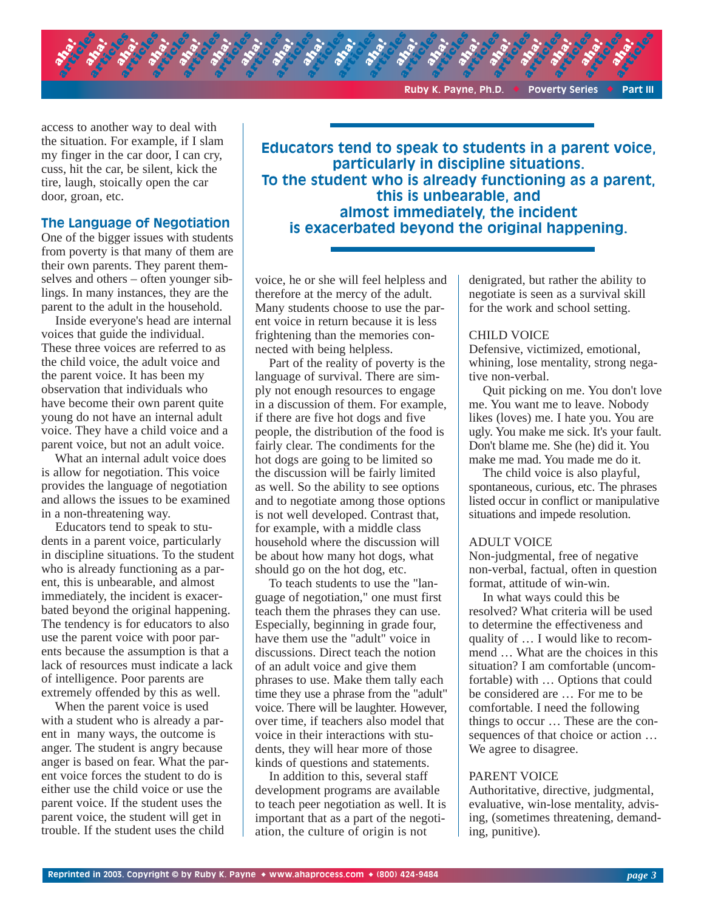

access to another way to deal with the situation. For example, if I slam my finger in the car door, I can cry, cuss, hit the car, be silent, kick the tire, laugh, stoically open the car door, groan, etc.

#### **The Language of Negotiation**

One of the bigger issues with students from poverty is that many of them are their own parents. They parent themselves and others – often younger siblings. In many instances, they are the parent to the adult in the household.

Inside everyone's head are internal voices that guide the individual. These three voices are referred to as the child voice, the adult voice and the parent voice. It has been my observation that individuals who have become their own parent quite young do not have an internal adult voice. They have a child voice and a parent voice, but not an adult voice.

What an internal adult voice does is allow for negotiation. This voice provides the language of negotiation and allows the issues to be examined in a non-threatening way.

Educators tend to speak to students in a parent voice, particularly in discipline situations. To the student who is already functioning as a parent, this is unbearable, and almost immediately, the incident is exacerbated beyond the original happening. The tendency is for educators to also use the parent voice with poor parents because the assumption is that a lack of resources must indicate a lack of intelligence. Poor parents are extremely offended by this as well.

When the parent voice is used with a student who is already a parent in many ways, the outcome is anger. The student is angry because anger is based on fear. What the parent voice forces the student to do is either use the child voice or use the parent voice. If the student uses the parent voice, the student will get in trouble. If the student uses the child

**Educators tend to speak to students in a parent voice, particularly in discipline situations. To the student who is already functioning as a parent, this is unbearable, and almost immediately, the incident is exacerbated beyond the original happening.**

voice, he or she will feel helpless and therefore at the mercy of the adult. Many students choose to use the parent voice in return because it is less frightening than the memories connected with being helpless.

Part of the reality of poverty is the language of survival. There are simply not enough resources to engage in a discussion of them. For example, if there are five hot dogs and five people, the distribution of the food is fairly clear. The condiments for the hot dogs are going to be limited so the discussion will be fairly limited as well. So the ability to see options and to negotiate among those options is not well developed. Contrast that, for example, with a middle class household where the discussion will be about how many hot dogs, what should go on the hot dog, etc.

To teach students to use the "language of negotiation," one must first teach them the phrases they can use. Especially, beginning in grade four, have them use the "adult" voice in discussions. Direct teach the notion of an adult voice and give them phrases to use. Make them tally each time they use a phrase from the "adult" voice. There will be laughter. However, over time, if teachers also model that voice in their interactions with students, they will hear more of those kinds of questions and statements.

In addition to this, several staff development programs are available to teach peer negotiation as well. It is important that as a part of the negotiation, the culture of origin is not

denigrated, but rather the ability to negotiate is seen as a survival skill for the work and school setting.

#### CHILD VOICE

Defensive, victimized, emotional, whining, lose mentality, strong negative non-verbal.

Quit picking on me. You don't love me. You want me to leave. Nobody likes (loves) me. I hate you. You are ugly. You make me sick. It's your fault. Don't blame me. She (he) did it. You make me mad. You made me do it.

The child voice is also playful, spontaneous, curious, etc. The phrases listed occur in conflict or manipulative situations and impede resolution.

#### ADULT VOICE

Non-judgmental, free of negative non-verbal, factual, often in question format, attitude of win-win.

In what ways could this be resolved? What criteria will be used to determine the effectiveness and quality of … I would like to recommend … What are the choices in this situation? I am comfortable (uncomfortable) with … Options that could be considered are … For me to be comfortable. I need the following things to occur … These are the consequences of that choice or action … We agree to disagree.

#### PARENT VOICE

Authoritative, directive, judgmental, evaluative, win-lose mentality, advising, (sometimes threatening, demanding, punitive).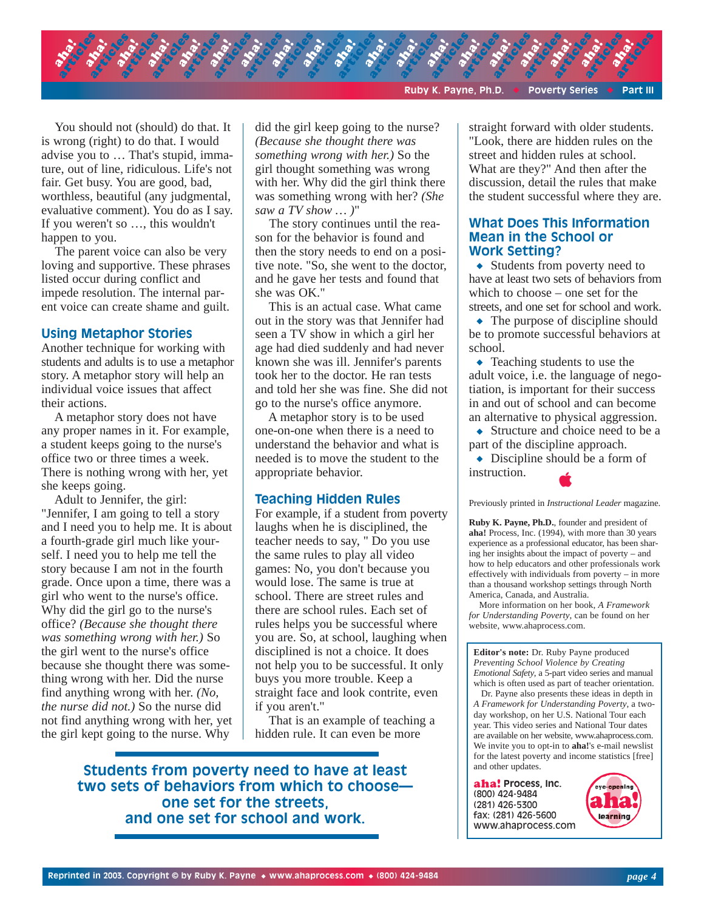

You should not (should) do that. It is wrong (right) to do that. I would advise you to … That's stupid, immature, out of line, ridiculous. Life's not fair. Get busy. You are good, bad, worthless, beautiful (any judgmental, evaluative comment). You do as I say. If you weren't so …, this wouldn't happen to you.

The parent voice can also be very loving and supportive. These phrases listed occur during conflict and impede resolution. The internal parent voice can create shame and guilt.

#### **Using Metaphor Stories**

Another technique for working with students and adults is to use a metaphor story. A metaphor story will help an individual voice issues that affect their actions.

A metaphor story does not have any proper names in it. For example, a student keeps going to the nurse's office two or three times a week. There is nothing wrong with her, yet she keeps going.

Adult to Jennifer, the girl: "Jennifer, I am going to tell a story and I need you to help me. It is about a fourth-grade girl much like yourself. I need you to help me tell the story because I am not in the fourth grade. Once upon a time, there was a girl who went to the nurse's office. Why did the girl go to the nurse's office? *(Because she thought there was something wrong with her.)* So the girl went to the nurse's office because she thought there was something wrong with her. Did the nurse find anything wrong with her. *(No, the nurse did not.)* So the nurse did not find anything wrong with her, yet the girl kept going to the nurse. Why did the girl keep going to the nurse? *(Because she thought there was something wrong with her.)* So the girl thought something was wrong with her. Why did the girl think there was something wrong with her? *(She saw a TV show … )*"

The story continues until the reason for the behavior is found and then the story needs to end on a positive note. "So, she went to the doctor, and he gave her tests and found that she was OK."

This is an actual case. What came out in the story was that Jennifer had seen a TV show in which a girl her age had died suddenly and had never known she was ill. Jennifer's parents took her to the doctor. He ran tests and told her she was fine. She did not go to the nurse's office anymore.

A metaphor story is to be used one-on-one when there is a need to understand the behavior and what is needed is to move the student to the appropriate behavior.

#### **Teaching Hidden Rules**

For example, if a student from poverty laughs when he is disciplined, the teacher needs to say, " Do you use the same rules to play all video games: No, you don't because you would lose. The same is true at school. There are street rules and there are school rules. Each set of rules helps you be successful where you are. So, at school, laughing when disciplined is not a choice. It does not help you to be successful. It only buys you more trouble. Keep a straight face and look contrite, even if you aren't."

That is an example of teaching a hidden rule. It can even be more

**Students from poverty need to have at least two sets of behaviors from which to choose one set for the streets, and one set for school and work.**

straight forward with older students. "Look, there are hidden rules on the street and hidden rules at school. What are they?" And then after the discussion, detail the rules that make the student successful where they are.

#### **What Does This Information Mean in the School or Work Setting?**

◆ Students from poverty need to have at least two sets of behaviors from which to choose – one set for the streets, and one set for school and work.

 $\bullet$  The purpose of discipline should be to promote successful behaviors at school.

◆ Teaching students to use the adult voice, i.e. the language of negotiation, is important for their success in and out of school and can become an alternative to physical aggression.

◆ Structure and choice need to be a part of the discipline approach.

◆ Discipline should be a form of instruction.

Previously printed in *Instructional Leader* magazine.

**Ruby K. Payne, Ph.D.**, founder and president of **aha!** Process, Inc. (1994), with more than 30 years experience as a professional educator, has been sharing her insights about the impact of poverty – and how to help educators and other professionals work effectively with individuals from poverty – in more than a thousand workshop settings through North America, Canada, and Australia.

More information on her book, *A Framework for Understanding Poverty*, can be found on her website, www.ahaprocess.com.

**Editor's note:** Dr. Ruby Payne produced *Preventing School Violence by Creating Emotional Safety*, a 5-part video series and manual which is often used as part of teacher orientation.

Dr. Payne also presents these ideas in depth in *A Framework for Understanding Poverty*, a twoday workshop, on her U.S. National Tour each year. This video series and National Tour dates are available on her website, www.ahaprocess.com. We invite you to opt-in to **aha!**'s e-mail newslist for the latest poverty and income statistics [free] and other updates.

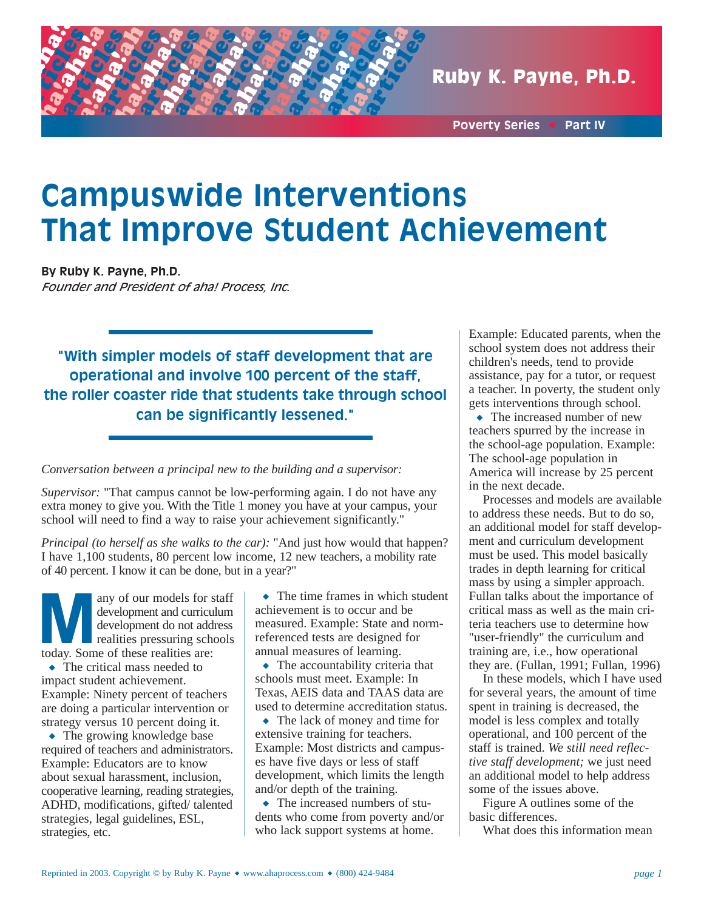

# **Campuswide Interventions That Improve Student Achievement**

**By Ruby K. Payne, Ph.D.** *Founder and President of aha! Process, Inc.*

**"With simpler models of staff development that are operational and involve 100 percent of the staff, the roller coaster ride that students take through school can be significantly lessened."**

#### *Conversation between a principal new to the building and a supervisor:*

*Supervisor:* "That campus cannot be low-performing again. I do not have any extra money to give you. With the Title 1 money you have at your campus, your school will need to find a way to raise your achievement significantly."

*Principal (to herself as she walks to the car):* "And just how would that happen? I have 1,100 students, 80 percent low income, 12 new teachers, a mobility rate of 40 percent. I know it can be done, but in a year?"

any of our models for staff<br>development and curriculum<br>development do not address<br>realities pressuring schools<br>today. Some of these realities are: development and curriculum development do not address realities pressuring schools today. Some of these realities are:

◆ The critical mass needed to impact student achievement. Example: Ninety percent of teachers are doing a particular intervention or strategy versus 10 percent doing it.

• The growing knowledge base required of teachers and administrators. Example: Educators are to know about sexual harassment, inclusion, cooperative learning, reading strategies, ADHD, modifications, gifted/ talented strategies, legal guidelines, ESL, strategies, etc.

• The time frames in which student achievement is to occur and be measured. Example: State and normreferenced tests are designed for annual measures of learning.

• The accountability criteria that schools must meet. Example: In Texas, AEIS data and TAAS data are used to determine accreditation status.

◆ The lack of money and time for extensive training for teachers. Example: Most districts and campuses have five days or less of staff development, which limits the length and/or depth of the training.

• The increased numbers of students who come from poverty and/or who lack support systems at home.

Example: Educated parents, when the school system does not address their children's needs, tend to provide assistance, pay for a tutor, or request a teacher. In poverty, the student only gets interventions through school.

◆ The increased number of new teachers spurred by the increase in the school-age population. Example: The school-age population in America will increase by 25 percent in the next decade.

Processes and models are available to address these needs. But to do so, an additional model for staff development and curriculum development must be used. This model basically trades in depth learning for critical mass by using a simpler approach. Fullan talks about the importance of critical mass as well as the main criteria teachers use to determine how "user-friendly" the curriculum and training are, i.e., how operational they are. (Fullan, 1991; Fullan, 1996)

In these models, which I have used for several years, the amount of time spent in training is decreased, the model is less complex and totally operational, and 100 percent of the staff is trained. *We still need reflective staff development;* we just need an additional model to help address some of the issues above.

Figure A outlines some of the basic differences.

What does this information mean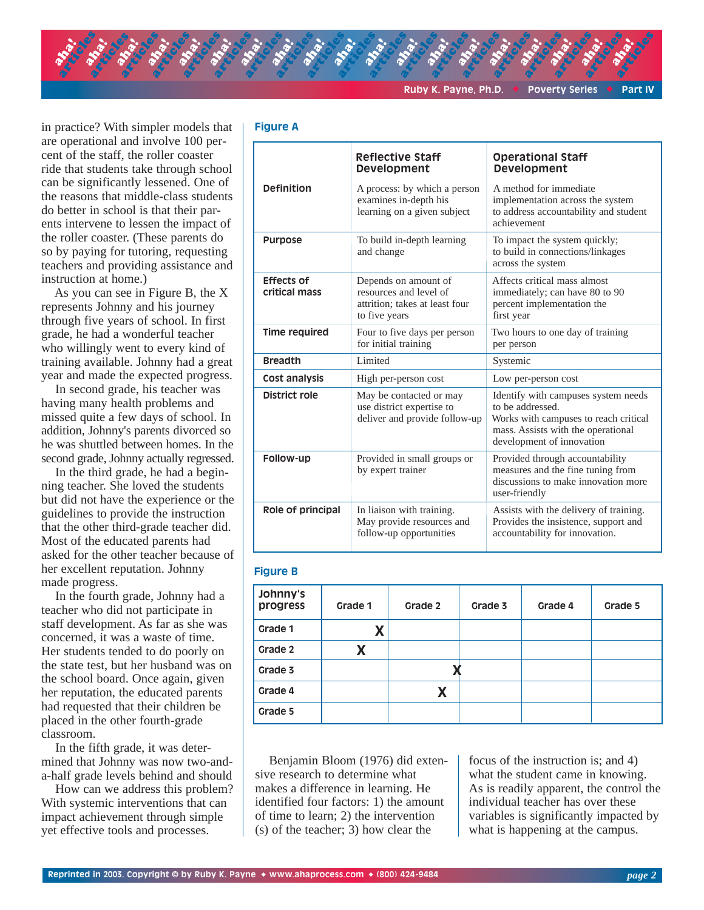

in practice? With simpler models that are operational and involve 100 percent of the staff, the roller coaster ride that students take through school can be significantly lessened. One of the reasons that middle-class students do better in school is that their parents intervene to lessen the impact of the roller coaster. (These parents do so by paying for tutoring, requesting teachers and providing assistance and instruction at home.)

As you can see in Figure B, the X represents Johnny and his journey through five years of school. In first grade, he had a wonderful teacher who willingly went to every kind of training available. Johnny had a great year and made the expected progress.

In second grade, his teacher was having many health problems and missed quite a few days of school. In addition, Johnny's parents divorced so he was shuttled between homes. In the second grade, Johnny actually regressed.

In the third grade, he had a beginning teacher. She loved the students but did not have the experience or the guidelines to provide the instruction that the other third-grade teacher did. Most of the educated parents had asked for the other teacher because of her excellent reputation. Johnny made progress.

In the fourth grade, Johnny had a teacher who did not participate in staff development. As far as she was concerned, it was a waste of time. Her students tended to do poorly on the state test, but her husband was on the school board. Once again, given her reputation, the educated parents had requested that their children be placed in the other fourth-grade classroom.

In the fifth grade, it was determined that Johnny was now two-anda-half grade levels behind and should

How can we address this problem? With systemic interventions that can impact achievement through simple yet effective tools and processes.

#### **Figure A**

|                                    | <b>Reflective Staff</b><br><b>Development</b>                                                     | <b>Operational Staff</b><br><b>Development</b>                                                                                                                      |
|------------------------------------|---------------------------------------------------------------------------------------------------|---------------------------------------------------------------------------------------------------------------------------------------------------------------------|
| <b>Definition</b>                  | A process: by which a person<br>examines in-depth his<br>learning on a given subject              | A method for immediate<br>implementation across the system<br>to address accountability and student<br>achievement                                                  |
| <b>Purpose</b>                     | To build in-depth learning<br>and change                                                          | To impact the system quickly;<br>to build in connections/linkages<br>across the system                                                                              |
| <b>Effects of</b><br>critical mass | Depends on amount of<br>resources and level of<br>attrition: takes at least four<br>to five years | Affects critical mass almost<br>immediately; can have 80 to 90<br>percent implementation the<br>first year                                                          |
| <b>Time required</b>               | Four to five days per person<br>for initial training                                              | Two hours to one day of training<br>per person                                                                                                                      |
| <b>Breadth</b>                     | Limited                                                                                           | Systemic                                                                                                                                                            |
| Cost analysis                      | High per-person cost                                                                              | Low per-person cost                                                                                                                                                 |
| <b>District role</b>               | May be contacted or may<br>use district expertise to<br>deliver and provide follow-up             | Identify with campuses system needs<br>to be addressed.<br>Works with campuses to reach critical<br>mass. Assists with the operational<br>development of innovation |
| Follow-up                          | Provided in small groups or<br>by expert trainer                                                  | Provided through accountability<br>measures and the fine tuning from<br>discussions to make innovation more<br>user-friendly                                        |
| Role of principal                  | In liaison with training.<br>May provide resources and<br>follow-up opportunities                 | Assists with the delivery of training.<br>Provides the insistence, support and<br>accountability for innovation.                                                    |

#### **Figure B**

| Johnny's<br>progress | Grade 1 | Grade 2 | Grade 3 | Grade 4 | Grade 5 |
|----------------------|---------|---------|---------|---------|---------|
| Grade 1              | Χ       |         |         |         |         |
| Grade 2              | X       |         |         |         |         |
| Grade 3              |         |         |         |         |         |
| Grade 4              |         | X       |         |         |         |
| Grade 5              |         |         |         |         |         |

Benjamin Bloom (1976) did extensive research to determine what makes a difference in learning. He identified four factors: 1) the amount of time to learn; 2) the intervention (s) of the teacher; 3) how clear the

focus of the instruction is; and 4) what the student came in knowing. As is readily apparent, the control the individual teacher has over these variables is significantly impacted by what is happening at the campus.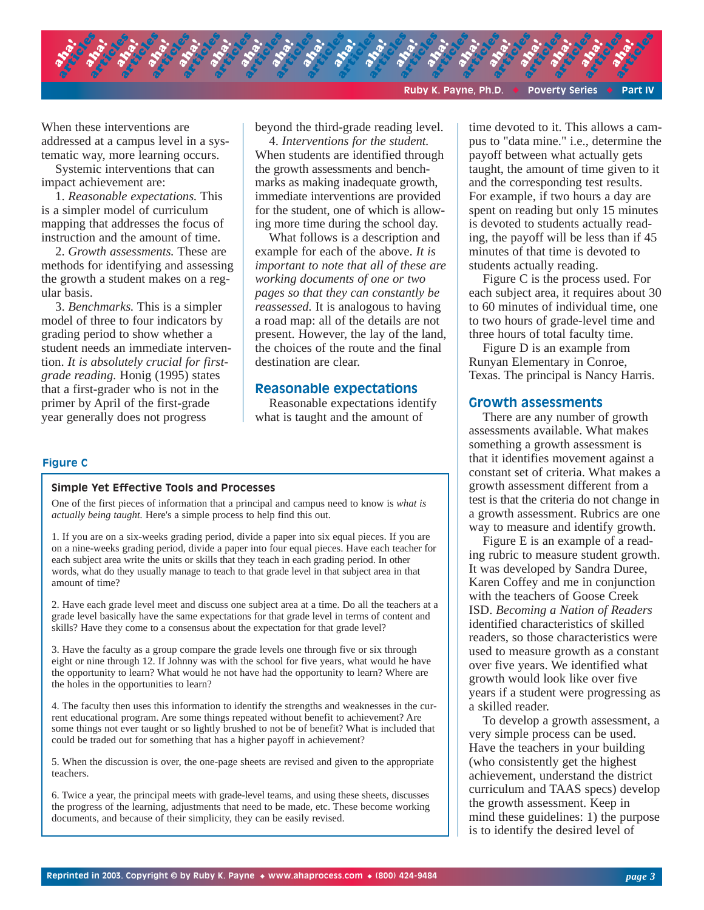

When these interventions are addressed at a campus level in a systematic way, more learning occurs.

Systemic interventions that can impact achievement are:

1. *Reasonable expectations.* This is a simpler model of curriculum mapping that addresses the focus of instruction and the amount of time.

2. *Growth assessments.* These are methods for identifying and assessing the growth a student makes on a regular basis.

3. *Benchmarks.* This is a simpler model of three to four indicators by grading period to show whether a student needs an immediate intervention. *It is absolutely crucial for firstgrade reading.* Honig (1995) states that a first-grader who is not in the primer by April of the first-grade year generally does not progress

beyond the third-grade reading level.

4. *Interventions for the student.* When students are identified through the growth assessments and benchmarks as making inadequate growth, immediate interventions are provided for the student, one of which is allowing more time during the school day.

What follows is a description and example for each of the above. *It is important to note that all of these are working documents of one or two pages so that they can constantly be reassessed.* It is analogous to having a road map: all of the details are not present. However, the lay of the land, the choices of the route and the final destination are clear.

#### **Reasonable expectations**

Reasonable expectations identify what is taught and the amount of

#### **Figure C**

#### **Simple Yet Effective Tools and Processes**

One of the first pieces of information that a principal and campus need to know is *what is actually being taught.* Here's a simple process to help find this out.

1. If you are on a six-weeks grading period, divide a paper into six equal pieces. If you are on a nine-weeks grading period, divide a paper into four equal pieces. Have each teacher for each subject area write the units or skills that they teach in each grading period. In other words, what do they usually manage to teach to that grade level in that subject area in that amount of time?

2. Have each grade level meet and discuss one subject area at a time. Do all the teachers at a grade level basically have the same expectations for that grade level in terms of content and skills? Have they come to a consensus about the expectation for that grade level?

3. Have the faculty as a group compare the grade levels one through five or six through eight or nine through 12. If Johnny was with the school for five years, what would he have the opportunity to learn? What would he not have had the opportunity to learn? Where are the holes in the opportunities to learn?

4. The faculty then uses this information to identify the strengths and weaknesses in the current educational program. Are some things repeated without benefit to achievement? Are some things not ever taught or so lightly brushed to not be of benefit? What is included that could be traded out for something that has a higher payoff in achievement?

5. When the discussion is over, the one-page sheets are revised and given to the appropriate teachers.

6. Twice a year, the principal meets with grade-level teams, and using these sheets, discusses the progress of the learning, adjustments that need to be made, etc. These become working documents, and because of their simplicity, they can be easily revised.

time devoted to it. This allows a campus to "data mine." i.e., determine the payoff between what actually gets taught, the amount of time given to it and the corresponding test results. For example, if two hours a day are spent on reading but only 15 minutes is devoted to students actually reading, the payoff will be less than if 45 minutes of that time is devoted to students actually reading.

Figure C is the process used. For each subject area, it requires about 30 to 60 minutes of individual time, one to two hours of grade-level time and three hours of total faculty time.

Figure D is an example from Runyan Elementary in Conroe, Texas. The principal is Nancy Harris.

#### **Growth assessments**

There are any number of growth assessments available. What makes something a growth assessment is that it identifies movement against a constant set of criteria. What makes a growth assessment different from a test is that the criteria do not change in a growth assessment. Rubrics are one way to measure and identify growth.

Figure E is an example of a reading rubric to measure student growth. It was developed by Sandra Duree, Karen Coffey and me in conjunction with the teachers of Goose Creek ISD. *Becoming a Nation of Readers* identified characteristics of skilled readers, so those characteristics were used to measure growth as a constant over five years. We identified what growth would look like over five years if a student were progressing as a skilled reader.

To develop a growth assessment, a very simple process can be used. Have the teachers in your building (who consistently get the highest achievement, understand the district curriculum and TAAS specs) develop the growth assessment. Keep in mind these guidelines: 1) the purpose is to identify the desired level of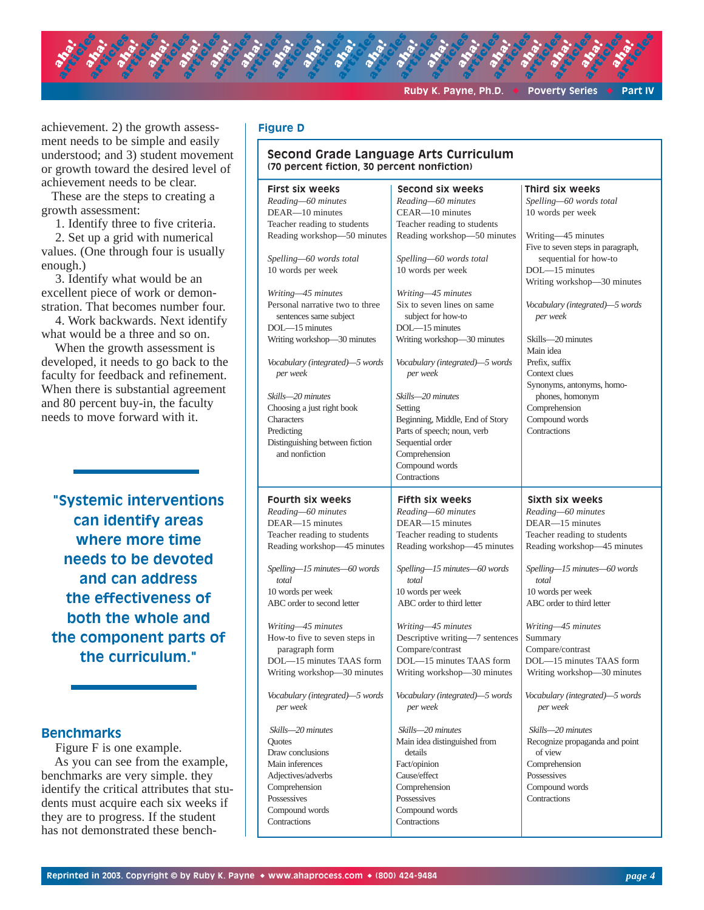

achievement. 2) the growth assessment needs to be simple and easily understood; and 3) student movement or growth toward the desired level of achievement needs to be clear.

These are the steps to creating a growth assessment:

1. Identify three to five criteria.

2. Set up a grid with numerical values. (One through four is usually enough.)

3. Identify what would be an excellent piece of work or demonstration. That becomes number four.

4. Work backwards. Next identify what would be a three and so on.

When the growth assessment is developed, it needs to go back to the faculty for feedback and refinement. When there is substantial agreement and 80 percent buy-in, the faculty needs to move forward with it.

**"Systemic interventions can identify areas where more time needs to be devoted and can address the effectiveness of both the whole and the component parts of the curriculum."**

#### **Benchmarks**

Figure F is one example. As you can see from the example, benchmarks are very simple. they identify the critical attributes that students must acquire each six weeks if they are to progress. If the student has not demonstrated these bench-

#### **Figure D**

| Second Grade Language Arts Curriculum<br>(70 percent fiction, 30 percent nonfiction)                                     |                                       |                                       |  |  |
|--------------------------------------------------------------------------------------------------------------------------|---------------------------------------|---------------------------------------|--|--|
| First six weeks                                                                                                          | Second six weeks                      | Third six weeks                       |  |  |
| Reading-60 minutes                                                                                                       | Reading-60 minutes                    | Spelling-60 words total               |  |  |
| DEAR-10 minutes                                                                                                          | CEAR-10 minutes                       | 10 words per week                     |  |  |
| Teacher reading to students                                                                                              | Teacher reading to students           |                                       |  |  |
| Reading workshop-50 minutes                                                                                              | Reading workshop-50 minutes           | Writing-45 minutes                    |  |  |
|                                                                                                                          |                                       | Five to seven steps in paragraph,     |  |  |
| Spelling-60 words total                                                                                                  | Spelling-60 words total               | sequential for how-to                 |  |  |
| 10 words per week                                                                                                        | 10 words per week                     | DOL-15 minutes                        |  |  |
|                                                                                                                          |                                       | Writing workshop-30 minutes           |  |  |
| Writing—45 minutes                                                                                                       | Writing-45 minutes                    |                                       |  |  |
| Personal narrative two to three                                                                                          | Six to seven lines on same            | Vocabulary (integrated)-5 words       |  |  |
| sentences same subject                                                                                                   | subject for how-to                    | per week                              |  |  |
| DOL-15 minutes                                                                                                           | DOL—15 minutes                        |                                       |  |  |
|                                                                                                                          |                                       |                                       |  |  |
| Writing workshop-30 minutes                                                                                              | Writing workshop-30 minutes           | Skills-20 minutes                     |  |  |
|                                                                                                                          |                                       | Main idea                             |  |  |
| Vocabulary (integrated)—5 words                                                                                          | Vocabulary (integrated)-5 words       | Prefix, suffix                        |  |  |
| per week                                                                                                                 | per week                              | Context clues                         |  |  |
|                                                                                                                          |                                       | Synonyms, antonyms, homo-             |  |  |
| Skills—20 minutes                                                                                                        | Skills-20 minutes                     | phones, homonym                       |  |  |
| Choosing a just right book                                                                                               | Setting                               | Comprehension                         |  |  |
| Characters                                                                                                               | Beginning, Middle, End of Story       | Compound words                        |  |  |
| Predicting                                                                                                               | Parts of speech; noun, verb           | Contractions                          |  |  |
| Distinguishing between fiction                                                                                           | Sequential order                      |                                       |  |  |
| and nonfiction                                                                                                           | Comprehension                         |                                       |  |  |
|                                                                                                                          | Compound words                        |                                       |  |  |
|                                                                                                                          | Contractions                          |                                       |  |  |
|                                                                                                                          |                                       |                                       |  |  |
| Fourth six weeks                                                                                                         | <b>Fifth six weeks</b>                | Sixth six weeks                       |  |  |
|                                                                                                                          |                                       |                                       |  |  |
|                                                                                                                          | Reading-60 minutes<br>DEAR-15 minutes | Reading-60 minutes<br>DEAR-15 minutes |  |  |
| Reading-60 minutes<br>DEAR-15 minutes                                                                                    |                                       |                                       |  |  |
| Teacher reading to students                                                                                              | Teacher reading to students           | Teacher reading to students           |  |  |
|                                                                                                                          | Reading workshop-45 minutes           | Reading workshop-45 minutes           |  |  |
|                                                                                                                          |                                       |                                       |  |  |
| total                                                                                                                    | Spelling—15 minutes—60 words<br>total | Spelling—15 minutes—60 words<br>total |  |  |
| Reading workshop-45 minutes<br>Spelling—15 minutes—60 words                                                              |                                       |                                       |  |  |
|                                                                                                                          | 10 words per week                     | 10 words per week                     |  |  |
|                                                                                                                          | ABC order to third letter             | ABC order to third letter             |  |  |
|                                                                                                                          |                                       |                                       |  |  |
|                                                                                                                          | Writing-45 minutes                    | Writing-45 minutes                    |  |  |
|                                                                                                                          | Descriptive writing-7 sentences       | Summary                               |  |  |
| 10 words per week<br>ABC order to second letter<br>Writing—45 minutes<br>How-to five to seven steps in<br>paragraph form | Compare/contrast                      | Compare/contrast                      |  |  |
|                                                                                                                          | DOL-15 minutes TAAS form              | DOL-15 minutes TAAS form              |  |  |
|                                                                                                                          | Writing workshop-30 minutes           | Writing workshop-30 minutes           |  |  |
| DOL-15 minutes TAAS form<br>Writing workshop-30 minutes<br>Vocabulary (integrated)-5 words                               | Vocabulary (integrated)-5 words       | Vocabulary (integrated)-5 words       |  |  |
| per week                                                                                                                 | per week                              | per week                              |  |  |
|                                                                                                                          |                                       |                                       |  |  |
| Skills-20 minutes                                                                                                        | Skills-20 minutes                     | Skills-20 minutes                     |  |  |
|                                                                                                                          | Main idea distinguished from          | Recognize propaganda and point        |  |  |
|                                                                                                                          | details                               | of view                               |  |  |
|                                                                                                                          | Fact/opinion                          | Comprehension                         |  |  |
|                                                                                                                          | Cause/effect                          | Possessives                           |  |  |
|                                                                                                                          | Comprehension                         | Compound words                        |  |  |
| Quotes<br>Draw conclusions<br>Main inferences<br>Adjectives/adverbs<br>Comprehension<br>Possessives                      | Possessives                           | Contractions                          |  |  |
|                                                                                                                          |                                       |                                       |  |  |
| Compound words<br>Contractions                                                                                           | Compound words<br>Contractions        |                                       |  |  |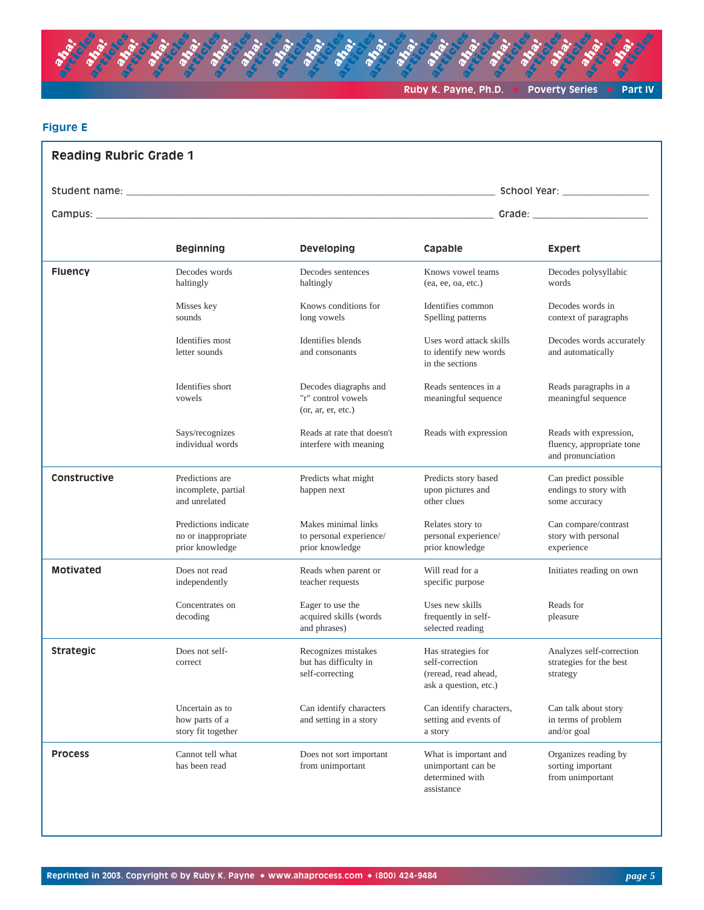

#### **Figure E**

|                  |                                                                |                                                                   |                                                                                                                                                                                                                                | School Year: ___________________                                         |  |
|------------------|----------------------------------------------------------------|-------------------------------------------------------------------|--------------------------------------------------------------------------------------------------------------------------------------------------------------------------------------------------------------------------------|--------------------------------------------------------------------------|--|
|                  |                                                                |                                                                   | Grade: will be a series of the contract of the contract of the contract of the contract of the contract of the contract of the contract of the contract of the contract of the contract of the contract of the contract of the |                                                                          |  |
|                  | <b>Beginning</b>                                               | <b>Developing</b>                                                 | Capable                                                                                                                                                                                                                        | Expert                                                                   |  |
| <b>Fluency</b>   | Decodes words<br>haltingly                                     | Decodes sentences<br>haltingly                                    | Knows vowel teams<br>(ea, ee, oa, etc.)                                                                                                                                                                                        | Decodes polysyllabic<br>words                                            |  |
|                  | Misses key<br>sounds                                           | Knows conditions for<br>long vowels                               | Identifies common<br>Spelling patterns                                                                                                                                                                                         | Decodes words in<br>context of paragraphs                                |  |
|                  | Identifies most<br>letter sounds                               | Identifies blends<br>and consonants                               | Uses word attack skills<br>to identify new words<br>in the sections                                                                                                                                                            | Decodes words accurately<br>and automatically                            |  |
|                  | Identifies short<br>vowels                                     | Decodes diagraphs and<br>"r" control vowels<br>(or, ar, er, etc.) | Reads sentences in a<br>meaningful sequence                                                                                                                                                                                    | Reads paragraphs in a<br>meaningful sequence                             |  |
|                  | Says/recognizes<br>individual words                            | Reads at rate that doesn't<br>interfere with meaning              | Reads with expression                                                                                                                                                                                                          | Reads with expression,<br>fluency, appropriate tone<br>and pronunciation |  |
| Constructive     | Predictions are<br>incomplete, partial<br>and unrelated        | Predicts what might<br>happen next                                | Predicts story based<br>upon pictures and<br>other clues                                                                                                                                                                       | Can predict possible<br>endings to story with<br>some accuracy           |  |
|                  | Predictions indicate<br>no or inappropriate<br>prior knowledge | Makes minimal links<br>to personal experience/<br>prior knowledge | Relates story to<br>personal experience/<br>prior knowledge                                                                                                                                                                    | Can compare/contrast<br>story with personal<br>experience                |  |
| <b>Motivated</b> | Does not read<br>independently                                 | Reads when parent or<br>teacher requests                          | Will read for a<br>specific purpose                                                                                                                                                                                            | Initiates reading on own                                                 |  |
|                  | Concentrates on<br>decoding                                    | Eager to use the<br>acquired skills (words<br>and phrases)        | Uses new skills<br>frequently in self-<br>selected reading                                                                                                                                                                     | Reads for<br>pleasure                                                    |  |
| <b>Strategic</b> | Does not self-<br>correct                                      | Recognizes mistakes<br>but has difficulty in<br>self-correcting   | Has strategies for<br>self-correction<br>(reread, read ahead,<br>ask a question, etc.)                                                                                                                                         | Analyzes self-correction<br>strategies for the best<br>strategy          |  |
|                  | Uncertain as to<br>how parts of a<br>story fit together        | Can identify characters<br>and setting in a story                 | Can identify characters,<br>setting and events of<br>a story                                                                                                                                                                   | Can talk about story<br>in terms of problem<br>and/or goal               |  |
| <b>Process</b>   | Cannot tell what<br>has been read                              | Does not sort important<br>from unimportant                       | What is important and<br>unimportant can be<br>determined with<br>assistance                                                                                                                                                   | Organizes reading by<br>sorting important<br>from unimportant            |  |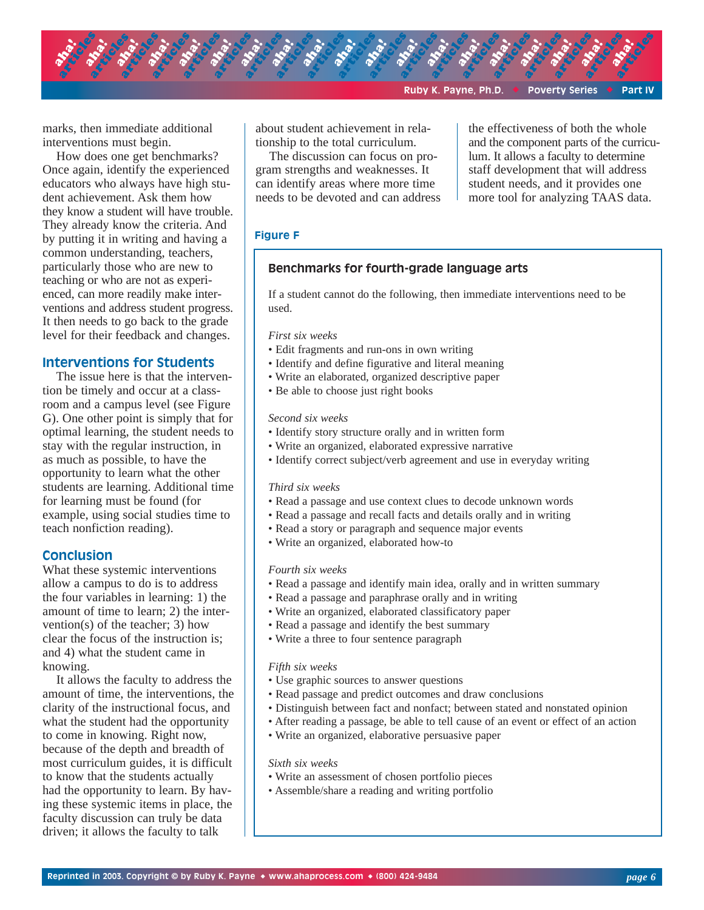

marks, then immediate additional interventions must begin.

How does one get benchmarks? Once again, identify the experienced educators who always have high student achievement. Ask them how they know a student will have trouble. They already know the criteria. And by putting it in writing and having a common understanding, teachers, particularly those who are new to teaching or who are not as experienced, can more readily make interventions and address student progress. It then needs to go back to the grade level for their feedback and changes.

#### **Interventions for Students**

The issue here is that the intervention be timely and occur at a classroom and a campus level (see Figure G). One other point is simply that for optimal learning, the student needs to stay with the regular instruction, in as much as possible, to have the opportunity to learn what the other students are learning. Additional time for learning must be found (for example, using social studies time to teach nonfiction reading).

#### **Conclusion**

What these systemic interventions allow a campus to do is to address the four variables in learning: 1) the amount of time to learn; 2) the intervention(s) of the teacher; 3) how clear the focus of the instruction is; and 4) what the student came in knowing.

It allows the faculty to address the amount of time, the interventions, the clarity of the instructional focus, and what the student had the opportunity to come in knowing. Right now, because of the depth and breadth of most curriculum guides, it is difficult to know that the students actually had the opportunity to learn. By having these systemic items in place, the faculty discussion can truly be data driven; it allows the faculty to talk

about student achievement in relationship to the total curriculum.

The discussion can focus on program strengths and weaknesses. It can identify areas where more time needs to be devoted and can address the effectiveness of both the whole and the component parts of the curriculum. It allows a faculty to determine staff development that will address student needs, and it provides one more tool for analyzing TAAS data.

#### **Figure F**

#### **Benchmarks for fourth-grade language arts**

If a student cannot do the following, then immediate interventions need to be used.

*First six weeks*

- Edit fragments and run-ons in own writing
- Identify and define figurative and literal meaning
- Write an elaborated, organized descriptive paper
- Be able to choose just right books

#### *Second six weeks*

- Identify story structure orally and in written form
- Write an organized, elaborated expressive narrative
- Identify correct subject/verb agreement and use in everyday writing

#### *Third six weeks*

- Read a passage and use context clues to decode unknown words
- Read a passage and recall facts and details orally and in writing
- Read a story or paragraph and sequence major events
- Write an organized, elaborated how-to

#### *Fourth six weeks*

- Read a passage and identify main idea, orally and in written summary
- Read a passage and paraphrase orally and in writing
- Write an organized, elaborated classificatory paper
- Read a passage and identify the best summary
- Write a three to four sentence paragraph

#### *Fifth six weeks*

- Use graphic sources to answer questions
- Read passage and predict outcomes and draw conclusions
- Distinguish between fact and nonfact; between stated and nonstated opinion
- After reading a passage, be able to tell cause of an event or effect of an action
- Write an organized, elaborative persuasive paper

#### *Sixth six weeks*

- Write an assessment of chosen portfolio pieces
- Assemble/share a reading and writing portfolio